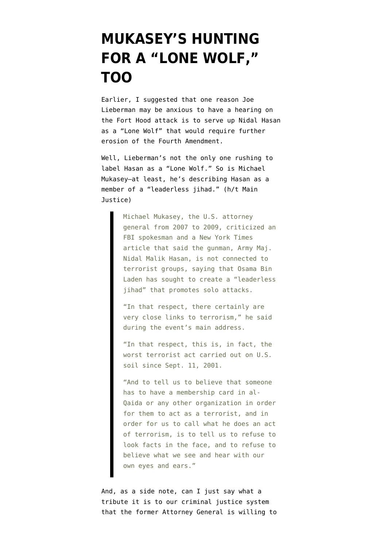## **[MUKASEY'S HUNTING](https://www.emptywheel.net/2009/11/09/mukaseys-hunting-for-a-lone-wolf-too/) [FOR A "LONE WOLF,"](https://www.emptywheel.net/2009/11/09/mukaseys-hunting-for-a-lone-wolf-too/) [TOO](https://www.emptywheel.net/2009/11/09/mukaseys-hunting-for-a-lone-wolf-too/)**

Earlier, I [suggested](http://emptywheel.firedoglake.com/2009/11/09/liebermans-hunt-for-a-lone-wolf/) that one reason Joe Lieberman may be anxious to have a hearing on the Fort Hood attack is to serve up Nidal Hasan as a "Lone Wolf" that would require further erosion of the Fourth Amendment.

Well, Lieberman's not the only one rushing to label Hasan as a "Lone Wolf." So is Michael Mukasey–at least, he's [describing](http://www.pennlive.com/news/patriotnews/index.ssf?/base/news/1257738026246320.xml&coll=1) Hasan as a member of a "leaderless jihad." (h/t [Main](http://www.mainjustice.com/2009/11/09/mukasey-says-fort-hood-attack-was-terrorism/) [Justice\)](http://www.mainjustice.com/2009/11/09/mukasey-says-fort-hood-attack-was-terrorism/)

> Michael Mukasey, the U.S. attorney general from 2007 to 2009, criticized an FBI spokesman and a New York Times article that said the gunman, Army Maj. Nidal Malik Hasan, is not connected to terrorist groups, saying that Osama Bin Laden has sought to create a "leaderless jihad" that promotes solo attacks.

"In that respect, there certainly are very close links to terrorism," he said during the event's main address.

"In that respect, this is, in fact, the worst terrorist act carried out on U.S. soil since Sept. 11, 2001.

"And to tell us to believe that someone has to have a membership card in al-Qaida or any other organization in order for them to act as a terrorist, and in order for us to call what he does an act of terrorism, is to tell us to refuse to look facts in the face, and to refuse to believe what we see and hear with our own eyes and ears."

And, as a side note, can I just say what a tribute it is to our criminal justice system that the former Attorney General is willing to